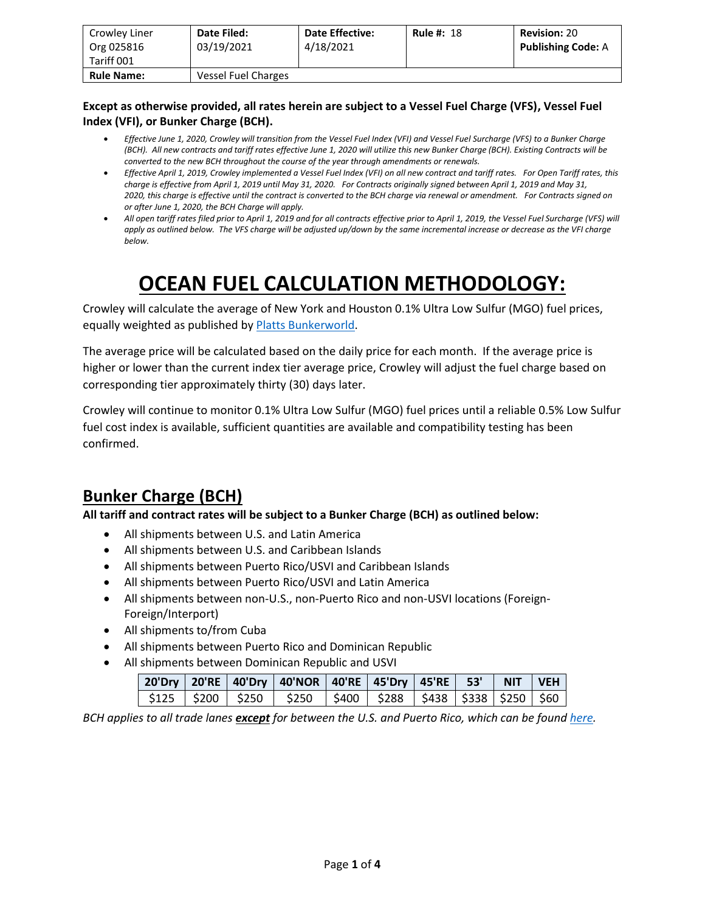| Crowley Liner<br>Org 025816<br>Tariff 001 | Date Filed:<br>03/19/2021 | <b>Date Effective:</b><br>4/18/2021 | <b>Rule #: 18</b> | <b>Revision: 20</b><br><b>Publishing Code: A</b> |
|-------------------------------------------|---------------------------|-------------------------------------|-------------------|--------------------------------------------------|
| <b>Rule Name:</b>                         | Vessel Fuel Charges       |                                     |                   |                                                  |

#### **Except as otherwise provided, all rates herein are subject to a Vessel Fuel Charge (VFS), Vessel Fuel Index (VFI), or Bunker Charge (BCH).**

- *Effective June 1, 2020, Crowley will transition from the Vessel Fuel Index (VFI) and Vessel Fuel Surcharge (VFS) to a Bunker Charge (BCH). All new contracts and tariff rates effective June 1, 2020 will utilize this new Bunker Charge (BCH). Existing Contracts will be converted to the new BCH throughout the course of the year through amendments or renewals.*
- *Effective April 1, 2019, Crowley implemented a Vessel Fuel Index (VFI) on all new contract and tariff rates. For Open Tariff rates, this charge is effective from April 1, 2019 until May 31, 2020. For Contracts originally signed between April 1, 2019 and May 31, 2020, this charge is effective until the contract is converted to the BCH charge via renewal or amendment. For Contracts signed on or after June 1, 2020, the BCH Charge will apply.*
- *All open tariff rates filed prior to April 1, 2019 and for all contracts effective prior to April 1, 2019, the Vessel Fuel Surcharge (VFS) will apply as outlined below. The VFS charge will be adjusted up/down by the same incremental increase or decrease as the VFI charge below.*

# **OCEAN FUEL CALCULATION METHODOLOGY:**

Crowley will calculate the average of New York and Houston 0.1% Ultra Low Sulfur (MGO) fuel prices, equally weighted as published b[y Platts Bunkerworld.](https://www.bunkerworld.com/)

The average price will be calculated based on the daily price for each month. If the average price is higher or lower than the current index tier average price, Crowley will adjust the fuel charge based on corresponding tier approximately thirty (30) days later.

Crowley will continue to monitor 0.1% Ultra Low Sulfur (MGO) fuel prices until a reliable 0.5% Low Sulfur fuel cost index is available, sufficient quantities are available and compatibility testing has been confirmed.

### **Bunker Charge (BCH)**

**All tariff and contract rates will be subject to a Bunker Charge (BCH) as outlined below:**

- All shipments between U.S. and Latin America
- All shipments between U.S. and Caribbean Islands
- All shipments between Puerto Rico/USVI and Caribbean Islands
- All shipments between Puerto Rico/USVI and Latin America
- All shipments between non-U.S., non-Puerto Rico and non-USVI locations (Foreign-Foreign/Interport)
- All shipments to/from Cuba
- All shipments between Puerto Rico and Dominican Republic
- All shipments between Dominican Republic and USVI

|  |  | │ 20'Dry   20'RE   40'Dry   40'NOR   40'RE   45'Dry   45'RE    53'   NIT  VEH <sub> </sub> |  |  |  |
|--|--|--------------------------------------------------------------------------------------------|--|--|--|
|  |  | \$125   \$200   \$250   \$250   \$400   \$288   \$438   \$338   \$250   \$60 <sub> </sub>  |  |  |  |

*BCH applies to all trade lanes except for between the U.S. and Puerto Rico, which can be found [here.](https://www.crowley.com/logistics/resources/rates-tariffs/stb/#18-1-vessel-fuel-surcharge-between-the-continental-us-and-puerto-rico)*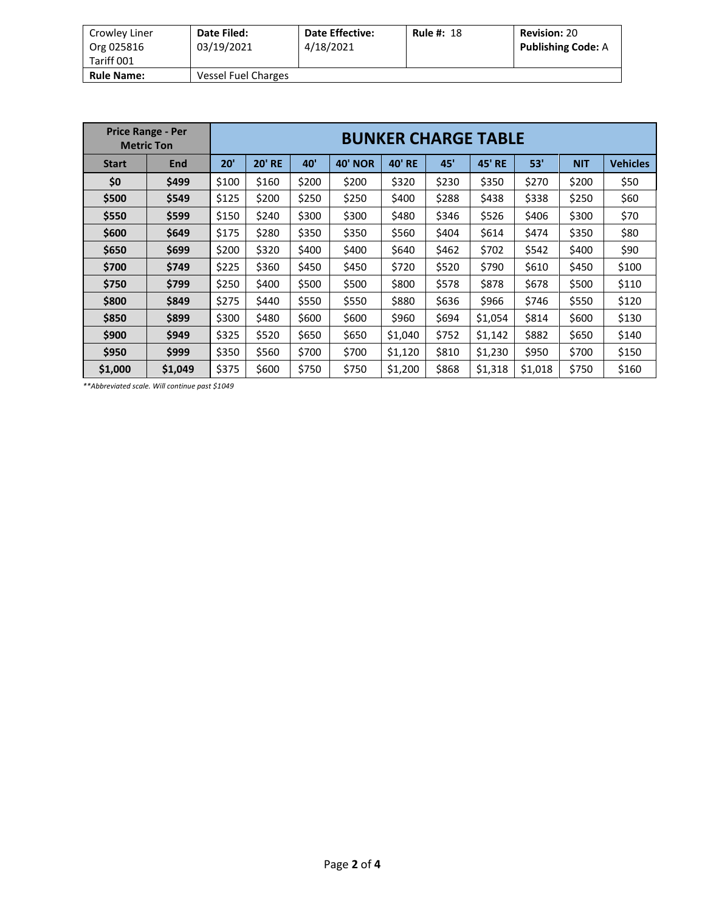| 4/18/2021 |                            | <b>Publishing Code: A</b> |
|-----------|----------------------------|---------------------------|
|           |                            |                           |
|           | <b>Vessel Fuel Charges</b> |                           |

| <b>Price Range - Per</b><br><b>Metric Ton</b> |            |       | <b>BUNKER CHARGE TABLE</b> |       |                   |               |       |                  |         |            |                 |  |
|-----------------------------------------------|------------|-------|----------------------------|-------|-------------------|---------------|-------|------------------|---------|------------|-----------------|--|
| <b>Start</b>                                  | <b>End</b> | 20'   | <b>20' RE</b>              | 40'   | 40'<br><b>NOR</b> | <b>40' RE</b> | 45'   | 45'<br><b>RE</b> | 53'     | <b>NIT</b> | <b>Vehicles</b> |  |
| \$0                                           | \$499      | \$100 | \$160                      | \$200 | \$200             | \$320         | \$230 | \$350            | \$270   | \$200      | \$50            |  |
| \$500                                         | \$549      | \$125 | \$200                      | \$250 | \$250             | \$400         | \$288 | \$438            | \$338   | \$250      | \$60            |  |
| \$550                                         | \$599      | \$150 | \$240                      | \$300 | \$300             | \$480         | \$346 | \$526            | \$406   | \$300      | \$70            |  |
| \$600                                         | \$649      | \$175 | \$280                      | \$350 | \$350             | \$560         | \$404 | \$614            | \$474   | \$350      | \$80            |  |
| \$650                                         | \$699      | \$200 | \$320                      | \$400 | \$400             | \$640         | \$462 | \$702            | \$542   | \$400      | \$90            |  |
| \$700                                         | \$749      | \$225 | \$360                      | \$450 | \$450             | \$720         | \$520 | \$790            | \$610   | \$450      | \$100           |  |
| \$750                                         | \$799      | \$250 | \$400                      | \$500 | \$500             | \$800         | \$578 | \$878            | \$678   | \$500      | \$110           |  |
| \$800                                         | \$849      | \$275 | \$440                      | \$550 | \$550             | \$880         | \$636 | \$966            | \$746   | \$550      | \$120           |  |
| \$850                                         | \$899      | \$300 | \$480                      | \$600 | \$600             | \$960         | \$694 | \$1,054          | \$814   | \$600      | \$130           |  |
| \$900                                         | \$949      | \$325 | \$520                      | \$650 | \$650             | \$1,040       | \$752 | \$1,142          | \$882   | \$650      | \$140           |  |
| \$950                                         | \$999      | \$350 | \$560                      | \$700 | \$700             | \$1,120       | \$810 | \$1,230          | \$950   | \$700      | \$150           |  |
| \$1,000                                       | \$1,049    | \$375 | \$600                      | \$750 | \$750             | \$1,200       | \$868 | \$1,318          | \$1,018 | \$750      | \$160           |  |

*\*\*Abbreviated scale. Will continue past \$1049*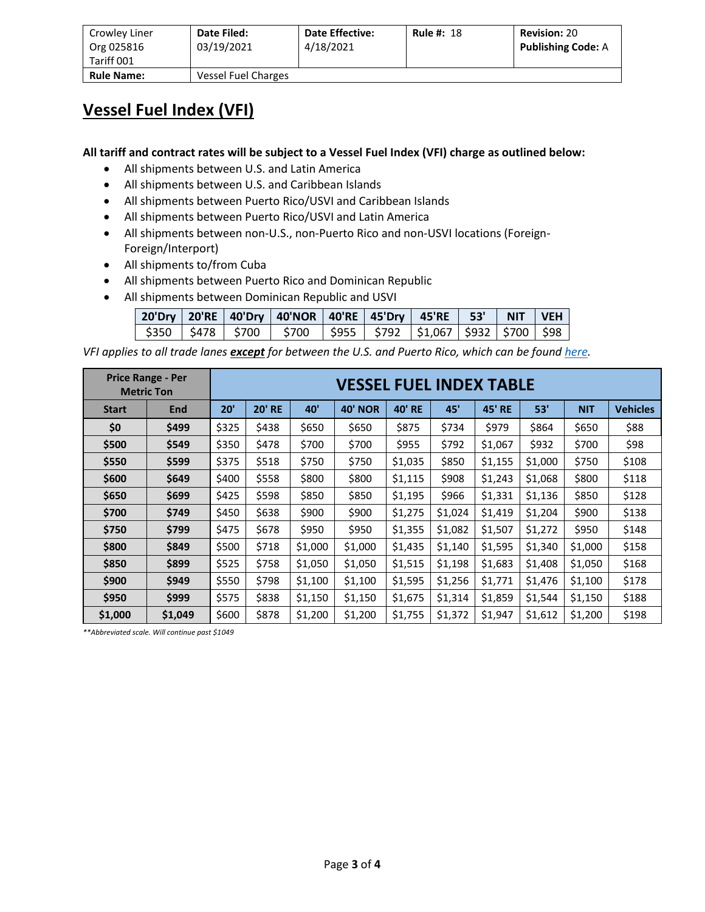| Crowley Liner<br>Org 025816<br>Tariff 001 | Date Filed:<br>03/19/2021 | <b>Date Effective:</b><br>4/18/2021 | <b>Rule #: 18</b> | <b>Revision: 20</b><br><b>Publishing Code: A</b> |
|-------------------------------------------|---------------------------|-------------------------------------|-------------------|--------------------------------------------------|
| <b>Rule Name:</b>                         | Vessel Fuel Charges       |                                     |                   |                                                  |

#### **Vessel Fuel Index (VFI)**

**All tariff and contract rates will be subject to a Vessel Fuel Index (VFI) charge as outlined below:**

- All shipments between U.S. and Latin America
- All shipments between U.S. and Caribbean Islands
- All shipments between Puerto Rico/USVI and Caribbean Islands
- All shipments between Puerto Rico/USVI and Latin America
- All shipments between non-U.S., non-Puerto Rico and non-USVI locations (Foreign-Foreign/Interport)
- All shipments to/from Cuba
- All shipments between Puerto Rico and Dominican Republic
- All shipments between Dominican Republic and USVI

|  | 20'Dry   20'RE   40'Dry   40'NOR   40'RE   45'Dry   45'RE   53'   NIT   VEH |  |  |  |
|--|-----------------------------------------------------------------------------|--|--|--|
|  | \$350   \$478   \$700   \$700   \$955   \$792  \$1,067  \$932  \$700  \$98  |  |  |  |

*VFI applies to all trade lanes except for between the U.S. and Puerto Rico, which can be foun[d here.](https://www.crowley.com/logistics/resources/rates-tariffs/stb/#18-1-vessel-fuel-surcharge-between-the-continental-us-and-puerto-rico)*

| <b>Price Range - Per</b><br><b>Metric Ton</b> |       |       | <b>VESSEL FUEL INDEX TABLE</b> |         |                |               |         |               |         |            |                 |  |
|-----------------------------------------------|-------|-------|--------------------------------|---------|----------------|---------------|---------|---------------|---------|------------|-----------------|--|
| <b>Start</b>                                  | End   | 20'   | <b>20' RE</b><br>40'           |         | <b>40' NOR</b> | <b>40' RE</b> | 45'     | <b>45' RE</b> | 53'     | <b>NIT</b> | <b>Vehicles</b> |  |
| \$0                                           | \$499 | \$325 | \$438                          | \$650   | \$650          | \$875         | \$734   | \$979         | \$864   | \$650      | \$88            |  |
| \$500                                         | \$549 | \$350 | \$478                          | \$700   | \$700          | \$955         | \$792   | \$1,067       | \$932   | \$700      | \$98            |  |
| \$550                                         | \$599 | \$375 | \$518                          | \$750   | \$750          | \$1,035       | \$850   | \$1,155       | \$1,000 | \$750      | \$108           |  |
| \$600                                         | \$649 | \$400 | \$558                          | \$800   | \$800          | \$1,115       | \$908   | \$1,243       | \$1,068 | \$800      | \$118           |  |
| \$650                                         | \$699 | \$425 | \$598                          | \$850   | \$850          | \$1,195       | \$966   | \$1,331       | \$1,136 | \$850      | \$128           |  |
| \$700                                         | \$749 | \$450 | \$638                          | \$900   | \$900          | \$1,275       | \$1,024 | \$1,419       | \$1,204 | \$900      | \$138           |  |
| \$750                                         | \$799 | \$475 | \$678                          | \$950   | \$950          | \$1,355       | \$1,082 | \$1,507       | \$1,272 | \$950      | \$148           |  |
| \$800                                         | \$849 | \$500 | \$718                          | \$1,000 | \$1,000        | \$1,435       | \$1,140 | \$1,595       | \$1,340 | \$1,000    | \$158           |  |
| \$850                                         | \$899 | \$525 | \$758                          | \$1,050 | \$1,050        | \$1,515       | \$1,198 | \$1,683       | \$1,408 | \$1,050    | \$168           |  |
| \$900                                         | \$949 | \$550 | \$798                          | \$1,100 | \$1,100        | \$1,595       | \$1,256 | \$1,771       | \$1,476 | \$1,100    | \$178           |  |
| \$950                                         | \$999 | \$575 | \$838                          | \$1,150 | \$1,150        | \$1,675       | \$1,314 | \$1,859       | \$1,544 | \$1,150    | \$188           |  |
| \$1,000<br>\$1,049                            |       | \$600 | \$878                          | \$1,200 | \$1,200        | \$1,755       | \$1,372 | \$1,947       | \$1,612 | \$1,200    | \$198           |  |

*\*\*Abbreviated scale. Will continue past \$1049*